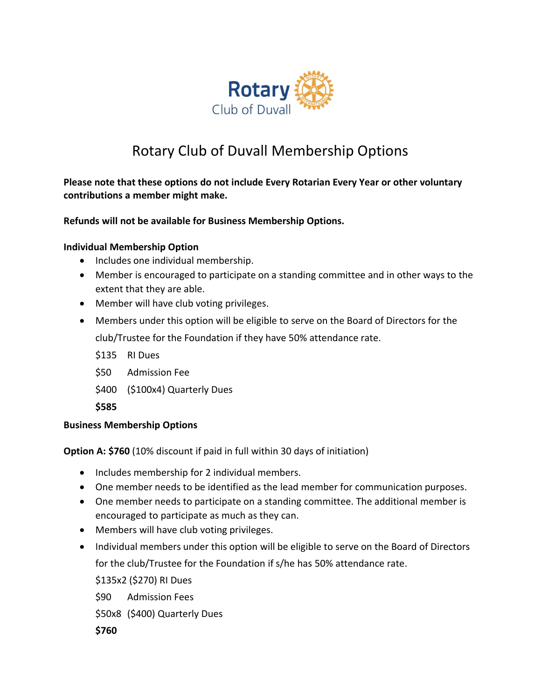

## Rotary Club of Duvall Membership Options

**Please note that these options do not include Every Rotarian Every Year or other voluntary contributions a member might make.** 

**Refunds will not be available for Business Membership Options.** 

## **Individual Membership Option**

- Includes one individual membership.
- Member is encouraged to participate on a standing committee and in other ways to the extent that they are able.
- Member will have club voting privileges.
- Members under this option will be eligible to serve on the Board of Directors for the club/Trustee for the Foundation if they have 50% attendance rate.
	- \$135 RI Dues
	- \$50 Admission Fee
	- \$400 (\$100x4) Quarterly Dues

**\$585**

## **Business Membership Options**

**Option A: \$760** (10% discount if paid in full within 30 days of initiation)

- Includes membership for 2 individual members.
- One member needs to be identified as the lead member for communication purposes.
- One member needs to participate on a standing committee. The additional member is encouraged to participate as much as they can.
- Members will have club voting privileges.
- Individual members under this option will be eligible to serve on the Board of Directors for the club/Trustee for the Foundation if s/he has 50% attendance rate.

\$135x2 (\$270) RI Dues

- \$90 Admission Fees
- \$50x8 (\$400) Quarterly Dues

**\$760**